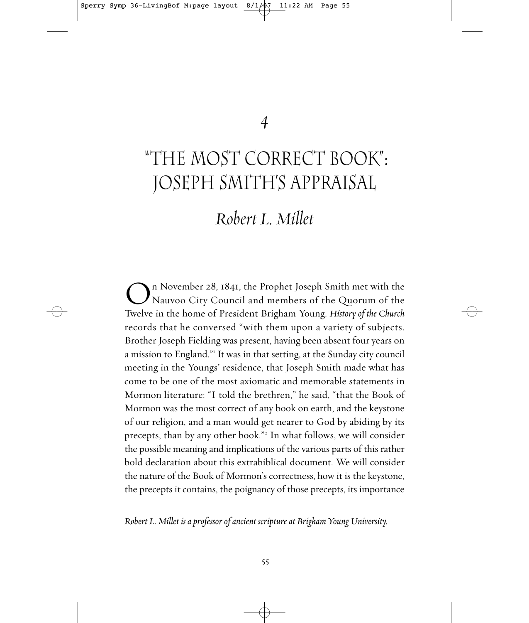*4*

# "THE MOST CORRECT BOOK": JOSEPH SMITH'S APPRAISAL

# *Robert L. Millet*

n November 28, 1841, the Prophet Joseph Smith met with the Nauvoo City Council and members of the Quorum of the Twelve in the home of President Brigham Young. *History of the Church* records that he conversed "with them upon a variety of subjects. Brother Joseph Fielding was present, having been absent four years on a mission to England."1 It was in that setting, at the Sunday city council meeting in the Youngs' residence, that Joseph Smith made what has come to be one of the most axiomatic and memorable statements in Mormon literature: "I told the brethren," he said, "that the Book of Mormon was the most correct of any book on earth, and the keystone of our religion, and a man would get nearer to God by abiding by its precepts, than by any other book."<sup>2</sup> In what follows, we will consider the possible meaning and implications of the various parts of this rather bold declaration about this extrabiblical document. We will consider the nature of the Book of Mormon's correctness, how it is the keystone, the precepts it contains, the poignancy of those precepts, its importance

*Robert L. Millet is a professor of ancient scripture at Brigham Young University.*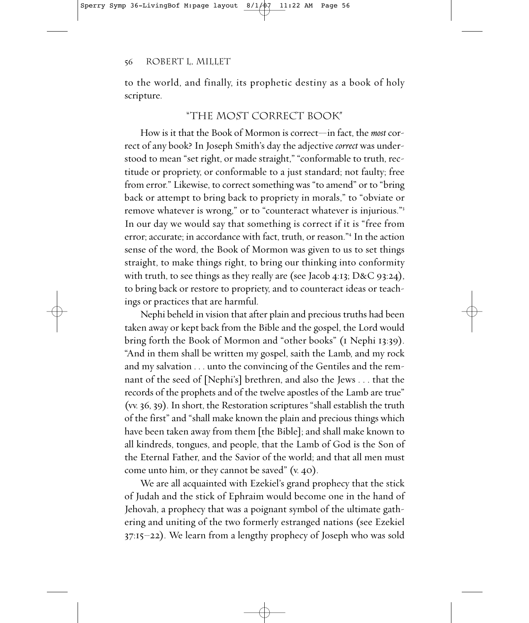#### 56 ROBERT L. MILLET

to the world, and finally, its prophetic destiny as a book of holy scripture.

# "THE MOST CORRECT BOOK"

How is it that the Book of Mormon is correct— in fact, the *most* correct of any book? In Joseph Smith's day the adjective *correct* was understood to mean "set right, or made straight," "conformable to truth, rectitude or propriety, or conformable to a just standard; not faulty; free from error." Likewise, to correct something was "to amend" or to "bring back or attempt to bring back to propriety in morals," to "obviate or remove whatever is wrong," or to "counteract whatever is injurious."<sup>3</sup> In our day we would say that something is correct if it is "free from error; accurate; in accordance with fact, truth, or reason."4 In the action sense of the word, the Book of Mormon was given to us to set things straight, to make things right, to bring our thinking into conformity with truth, to see things as they really are (see Jacob 4:13;  $D&C$  93:24), to bring back or restore to propriety, and to counteract ideas or teachings or practices that are harmful.

Nephi beheld in vision that after plain and precious truths had been taken away or kept back from the Bible and the gospel, the Lord would bring forth the Book of Mormon and "other books" (1 Nephi 13:39). "And in them shall be written my gospel, saith the Lamb, and my rock and my salvation . . . unto the convincing of the Gentiles and the remnant of the seed of [Nephi's] brethren, and also the Jews . . . that the records of the prophets and of the twelve apostles of the Lamb are true" (vv. 36, 39). In short, the Restoration scriptures "shall establish the truth of the first" and "shall make known the plain and precious things which have been taken away from them [the Bible]; and shall make known to all kindreds, tongues, and people, that the Lamb of God is the Son of the Eternal Father, and the Savior of the world; and that all men must come unto him, or they cannot be saved" (v. 40).

We are all acquainted with Ezekiel's grand prophecy that the stick of Judah and the stick of Ephraim would become one in the hand of Jehovah, a prophecy that was a poignant symbol of the ultimate gathering and uniting of the two formerly estranged nations (see Ezekiel 37:15–22). We learn from a lengthy prophecy of Joseph who was sold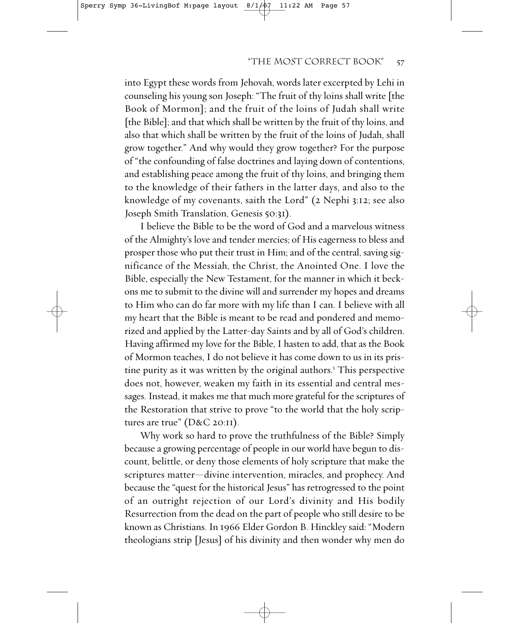into Egypt these words from Jehovah, words later excerpted by Lehi in counseling his young son Joseph: "The fruit of thy loins shall write [the Book of Mormon]; and the fruit of the loins of Judah shall write [the Bible]; and that which shall be written by the fruit of thy loins, and also that which shall be written by the fruit of the loins of Judah, shall grow together." And why would they grow together? For the purpose of "the confounding of false doctrines and laying down of contentions, and establishing peace among the fruit of thy loins, and bringing them to the knowledge of their fathers in the latter days, and also to the knowledge of my covenants, saith the Lord" (2 Nephi 3:12; see also Joseph Smith Translation, Genesis 50:31).

I believe the Bible to be the word of God and a marvelous witness of the Almighty's love and tender mercies; of His eagerness to bless and prosper those who put their trust in Him; and of the central, saving significance of the Messiah, the Christ, the Anointed One. I love the Bible, especially the New Testament, for the manner in which it beckons me to submit to the divine will and surrender my hopes and dreams to Him who can do far more with my life than I can. I believe with all my heart that the Bible is meant to be read and pondered and memorized and applied by the Latter- day Saints and by all of God's children. Having affirmed my love for the Bible, I hasten to add, that as the Book of Mormon teaches, I do not believe it has come down to us in its pristine purity as it was written by the original authors.<sup>5</sup> This perspective does not, however, weaken my faith in its essential and central messages. Instead, it makes me that much more grateful for the scriptures of the Restoration that strive to prove "to the world that the holy scriptures are true" ( $D&C$  20:II).

Why work so hard to prove the truthfulness of the Bible? Simply because a growing percentage of people in our world have begun to discount, belittle, or deny those elements of holy scripture that make the scriptures matter— divine intervention, miracles, and prophecy. And because the "quest for the historical Jesus" has retrogressed to the point of an outright rejection of our Lord's divinity and His bodily Resurrection from the dead on the part of people who still desire to be known as Christians. In 1966 Elder Gordon B. Hinckley said: "Modern theologians strip [Jesus] of his divinity and then wonder why men do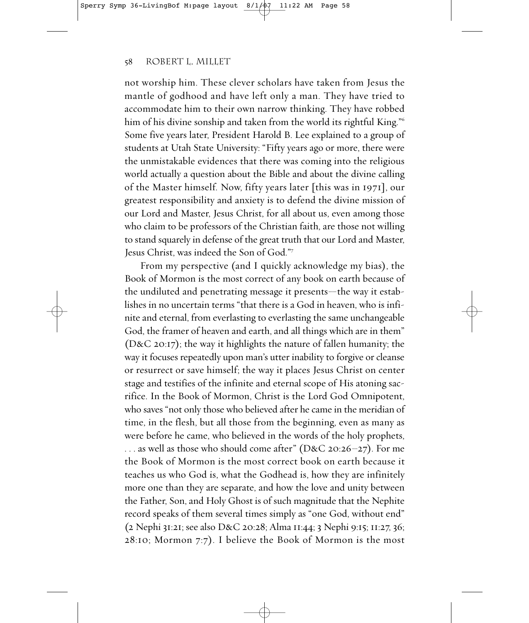#### 58 ROBERT L. MILLET

not worship him. These clever scholars have taken from Jesus the mantle of godhood and have left only a man. They have tried to accommodate him to their own narrow thinking. They have robbed him of his divine sonship and taken from the world its rightful King."<sup>6</sup> Some five years later, President Harold B. Lee explained to a group of students at Utah State University: "Fifty years ago or more, there were the unmistakable evidences that there was coming into the religious world actually a question about the Bible and about the divine calling of the Master himself. Now, fifty years later [this was in 1971], our greatest responsibility and anxiety is to defend the divine mission of our Lord and Master, Jesus Christ, for all about us, even among those who claim to be professors of the Christian faith, are those not willing to stand squarely in defense of the great truth that our Lord and Master, Jesus Christ, was indeed the Son of God."7

From my perspective (and I quickly acknowledge my bias), the Book of Mormon is the most correct of any book on earth because of the undiluted and penetrating message it presents— the way it establishes in no uncertain terms "that there is a God in heaven, who is infinite and eternal, from everlasting to everlasting the same unchangeable God, the framer of heaven and earth, and all things which are in them" (D&C 20:17); the way it highlights the nature of fallen humanity; the way it focuses repeatedly upon man's utter inability to forgive or cleanse or resurrect or save himself; the way it places Jesus Christ on center stage and testifies of the infinite and eternal scope of His atoning sacrifice. In the Book of Mormon, Christ is the Lord God Omnipotent, who saves "not only those who believed after he came in the meridian of time, in the flesh, but all those from the beginning, even as many as were before he came, who believed in the words of the holy prophets, ... as well as those who should come after" ( $D&C$  20:26–27). For me the Book of Mormon is the most correct book on earth because it teaches us who God is, what the Godhead is, how they are infinitely more one than they are separate, and how the love and unity between the Father, Son, and Holy Ghost is of such magnitude that the Nephite record speaks of them several times simply as "one God, without end" (2 Nephi 31:21; see also D&C 20:28; Alma 11:44; 3 Nephi 9:15; 11:27, 36; 28:10; Mormon 7:7). I believe the Book of Mormon is the most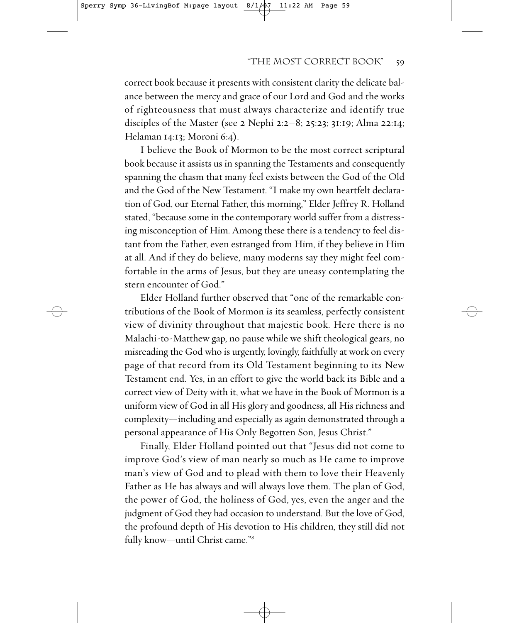correct book because it presents with consistent clarity the delicate balance between the mercy and grace of our Lord and God and the works of righteousness that must always characterize and identify true disciples of the Master (see 2 Nephi 2:2–8; 25:23; 31:19; Alma 22:14; Helaman 14:13; Moroni 6:4).

I believe the Book of Mormon to be the most correct scriptural book because it assists us in spanning the Testaments and consequently spanning the chasm that many feel exists between the God of the Old and the God of the New Testament. "I make my own heartfelt declaration of God, our Eternal Father, this morning," Elder Jeffrey R. Holland stated, "because some in the contemporary world suffer from a distressing misconception of Him. Among these there is a tendency to feel distant from the Father, even estranged from Him, if they believe in Him at all. And if they do believe, many moderns say they might feel comfortable in the arms of Jesus, but they are uneasy contemplating the stern encounter of God."

Elder Holland further observed that "one of the remarkable contributions of the Book of Mormon is its seamless, perfectly consistent view of divinity throughout that majestic book. Here there is no Malachi- to- Matthew gap, no pause while we shift theological gears, no misreading the God who is urgently, lovingly, faithfully at work on every page of that record from its Old Testament beginning to its New Testament end. Yes, in an effort to give the world back its Bible and a correct view of Deity with it, what we have in the Book of Mormon is a uniform view of God in all His glory and goodness, all His richness and complexity— including and especially as again demonstrated through a personal appearance of His Only Begotten Son, Jesus Christ."

Finally, Elder Holland pointed out that "Jesus did not come to improve God's view of man nearly so much as He came to improve man's view of God and to plead with them to love their Heavenly Father as He has always and will always love them. The plan of God, the power of God, the holiness of God, yes, even the anger and the judgment of God they had occasion to understand. But the love of God, the profound depth of His devotion to His children, they still did not fully know—until Christ came."<sup>8</sup>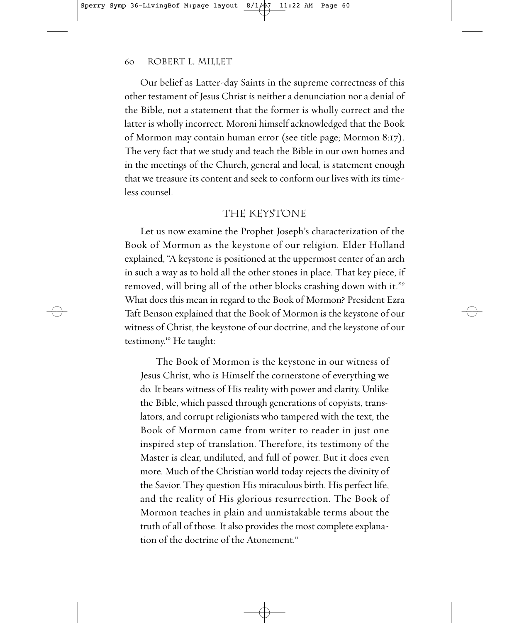Sperry Symp 36-LivingBof M:page layout 8/1/07 11:22 AM Page 60

#### 60 Robert L. Millet

Our belief as Latter- day Saints in the supreme correctness of this other testament of Jesus Christ is neither a denunciation nor a denial of the Bible, not a statement that the former is wholly correct and the latter is wholly incorrect. Moroni himself acknowledged that the Book of Mormon may contain human error (see title page; Mormon 8:17). The very fact that we study and teach the Bible in our own homes and in the meetings of the Church, general and local, is statement enough that we treasure its content and seek to conform our lives with its timeless counsel.

# The Keystone

Let us now examine the Prophet Joseph's characterization of the Book of Mormon as the keystone of our religion. Elder Holland explained, "A keystone is positioned at the uppermost center of an arch in such a way as to hold all the other stones in place. That key piece, if removed, will bring all of the other blocks crashing down with it."9 What does this mean in regard to the Book of Mormon? President Ezra Taft Benson explained that the Book of Mormon is the keystone of our witness of Christ, the keystone of our doctrine, and the keystone of our testimony.10 He taught:

The Book of Mormon is the keystone in our witness of Jesus Christ, who is Himself the cornerstone of everything we do. It bears witness of His reality with power and clarity. Unlike the Bible, which passed through generations of copyists, translators, and corrupt religionists who tampered with the text, the Book of Mormon came from writer to reader in just one inspired step of translation. Therefore, its testimony of the Master is clear, undiluted, and full of power. But it does even more. Much of the Christian world today rejects the divinity of the Savior. They question His miraculous birth, His perfect life, and the reality of His glorious resurrection. The Book of Mormon teaches in plain and unmistakable terms about the truth of all of those. It also provides the most complete explanation of the doctrine of the Atonement.<sup>11</sup>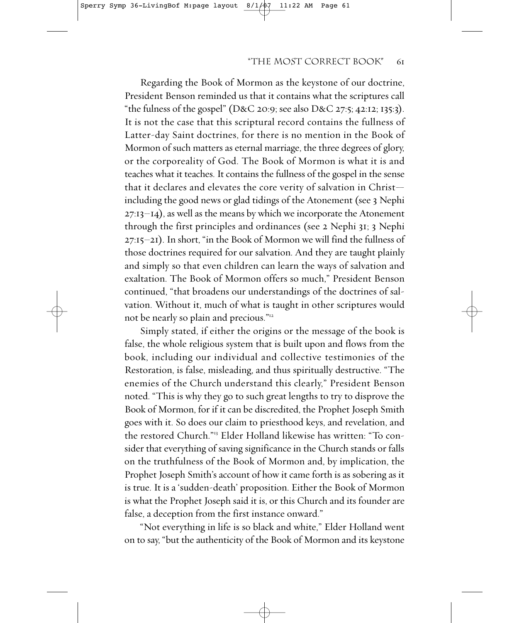Regarding the Book of Mormon as the keystone of our doctrine, President Benson reminded us that it contains what the scriptures call "the fulness of the gospel" (D&C 20:9; see also D&C 27:5; 42:12; 135:3). It is not the case that this scriptural record contains the fullness of Latter- day Saint doctrines, for there is no mention in the Book of Mormon of such matters as eternal marriage, the three degrees of glory, or the corporeality of God. The Book of Mormon is what it is and teaches what it teaches. It contains the fullness of the gospel in the sense that it declares and elevates the core verity of salvation in Christ including the good news or glad tidings of the Atonement (see 3 Nephi 27:13–14), as well as the means by which we incorporate the Atonement through the first principles and ordinances (see 2 Nephi 31; 3 Nephi 27:15–21). In short, "in the Book of Mormon we will find the fullness of those doctrines required for our salvation. And they are taught plainly and simply so that even children can learn the ways of salvation and exaltation. The Book of Mormon offers so much," President Benson continued, "that broadens our understandings of the doctrines of salvation. Without it, much of what is taught in other scriptures would not be nearly so plain and precious."<sup>12</sup>

Simply stated, if either the origins or the message of the book is false, the whole religious system that is built upon and flows from the book, including our individual and collective testimonies of the Restoration, is false, misleading, and thus spiritually destructive. "The enemies of the Church understand this clearly," President Benson noted. "This is why they go to such great lengths to try to disprove the Book of Mormon, for if it can be discredited, the Prophet Joseph Smith goes with it. So does our claim to priesthood keys, and revelation, and the restored Church."13 Elder Holland likewise has written: "To consider that everything of saving significance in the Church stands or falls on the truthfulness of the Book of Mormon and, by implication, the Prophet Joseph Smith's account of how it came forth is as sobering as it is true. It is a 'sudden- death' proposition. Either the Book of Mormon is what the Prophet Joseph said it is, or this Church and its founder are false, a deception from the first instance onward."

"Not everything in life is so black and white," Elder Holland went on to say, "but the authenticity of the Book of Mormon and its keystone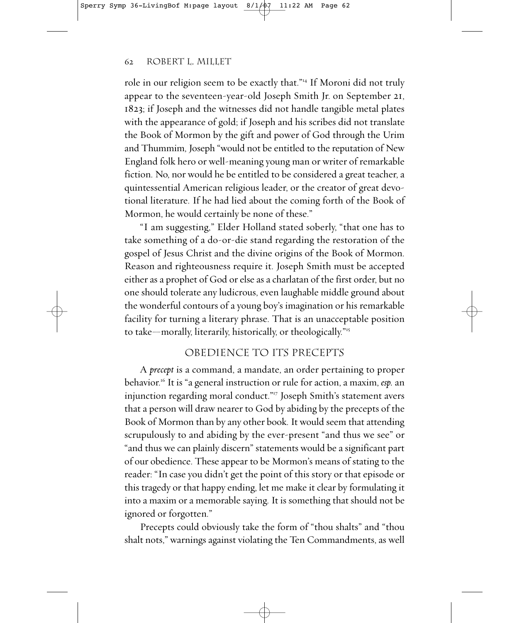#### 62 Robert L. Millet

role in our religion seem to be exactly that."<sup>14</sup> If Moroni did not truly appear to the seventeen- year- old Joseph Smith Jr. on September 21, 1823; if Joseph and the witnesses did not handle tangible metal plates with the appearance of gold; if Joseph and his scribes did not translate the Book of Mormon by the gift and power of God through the Urim and Thummim, Joseph "would not be entitled to the reputation of New England folk hero or well- meaning young man or writer of remarkable fiction. No, nor would he be entitled to be considered a great teacher, a quintessential American religious leader, or the creator of great devotional literature. If he had lied about the coming forth of the Book of Mormon, he would certainly be none of these."

"I am suggesting," Elder Holland stated soberly, "that one has to take something of a do-or-die stand regarding the restoration of the gospel of Jesus Christ and the divine origins of the Book of Mormon. Reason and righteousness require it. Joseph Smith must be accepted either as a prophet of God or else as a charlatan of the first order, but no one should tolerate any ludicrous, even laughable middle ground about the wonderful contours of a young boy's imagination or his remarkable facility for turning a literary phrase. That is an unacceptable position to take—morally, literarily, historically, or theologically."<sup>15</sup>

# OBEDIENCE TO ITS PRECEPTS

A *precept* is a command, a mandate, an order pertaining to proper behavior.16 It is "a general instruction or rule for action, a maxim, *esp.* an injunction regarding moral conduct."17 Joseph Smith's statement avers that a person will draw nearer to God by abiding by the precepts of the Book of Mormon than by any other book. It would seem that attending scrupulously to and abiding by the ever- present "and thus we see" or "and thus we can plainly discern" statements would be a significant part of our obedience. These appear to be Mormon's means of stating to the reader: "In case you didn't get the point of this story or that episode or this tragedy or that happy ending, let me make it clear by formulating it into a maxim or a memorable saying. It is something that should not be ignored or forgotten."

Precepts could obviously take the form of "thou shalts" and "thou shalt nots," warnings against violating the Ten Commandments, as well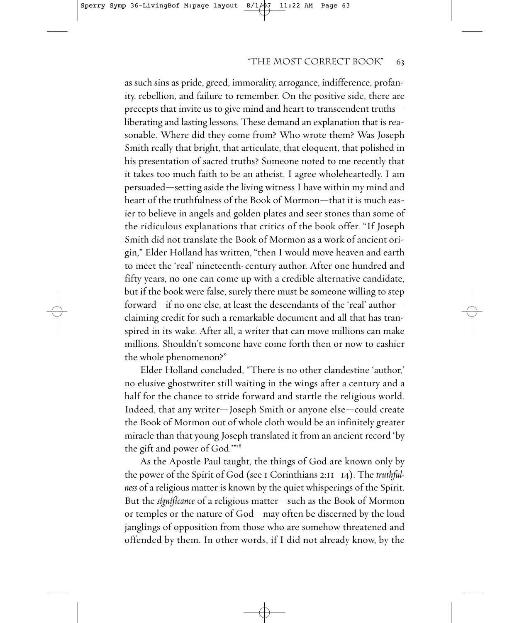as such sins as pride, greed, immorality, arrogance, indifference, profanity, rebellion, and failure to remember. On the positive side, there are precepts that invite us to give mind and heart to transcendent truths liberating and lasting lessons. These demand an explanation that is reasonable. Where did they come from? Who wrote them? Was Joseph Smith really that bright, that articulate, that eloquent, that polished in his presentation of sacred truths? Someone noted to me recently that it takes too much faith to be an atheist. I agree wholeheartedly. I am persuaded— setting aside the living witness I have within my mind and heart of the truthfulness of the Book of Mormon— that it is much easier to believe in angels and golden plates and seer stones than some of the ridiculous explanations that critics of the book offer. "If Joseph Smith did not translate the Book of Mormon as a work of ancient origin," Elder Holland has written, "then I would move heaven and earth to meet the 'real' nineteenth- century author. After one hundred and fifty years, no one can come up with a credible alternative candidate, but if the book were false, surely there must be someone willing to step forward— if no one else, at least the descendants of the 'real' author claiming credit for such a remarkable document and all that has transpired in its wake. After all, a writer that can move millions can make millions. Shouldn't someone have come forth then or now to cashier the whole phenomenon?"

Elder Holland concluded, "There is no other clandestine 'author,' no elusive ghostwriter still waiting in the wings after a century and a half for the chance to stride forward and startle the religious world. Indeed, that any writer— Joseph Smith or anyone else— could create the Book of Mormon out of whole cloth would be an infinitely greater miracle than that young Joseph translated it from an ancient record 'by the gift and power of God."18

As the Apostle Paul taught, the things of God are known only by the power of the Spirit of God (see 1 Corinthians 2:11–14). The *truthfulness* of a religious matter is known by the quiet whisperings of the Spirit. But the *significance* of a religious matter— such as the Book of Mormon or temples or the nature of God— may often be discerned by the loud janglings of opposition from those who are somehow threatened and offended by them. In other words, if I did not already know, by the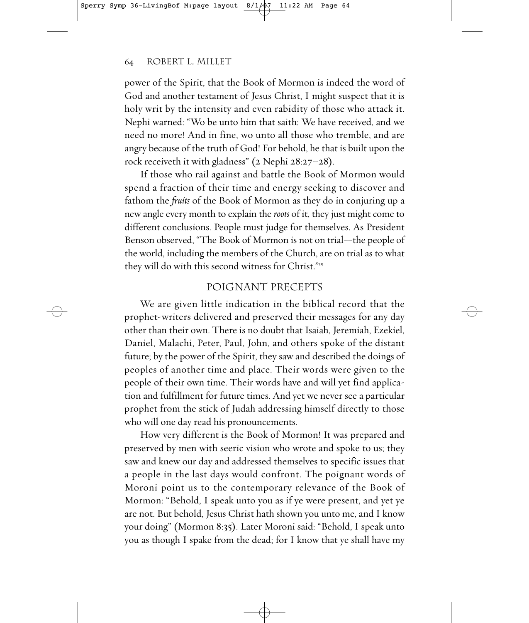Sperry Symp 36-LivingBof M:page layout 8/1/07 11:22 AM Page 64

#### 64 Robert L. Millet

power of the Spirit, that the Book of Mormon is indeed the word of God and another testament of Jesus Christ, I might suspect that it is holy writ by the intensity and even rabidity of those who attack it. Nephi warned: "Wo be unto him that saith: We have received, and we need no more! And in fine, wo unto all those who tremble, and are angry because of the truth of God! For behold, he that is built upon the rock receiveth it with gladness" (2 Nephi 28:27–28).

If those who rail against and battle the Book of Mormon would spend a fraction of their time and energy seeking to discover and fathom the *fruits* of the Book of Mormon as they do in conjuring up a new angle every month to explain the *roots* of it, they just might come to different conclusions. People must judge for themselves. As President Benson observed, "The Book of Mormon is not on trial— the people of the world, including the members of the Church, are on trial as to what they will do with this second witness for Christ."<sup>19</sup>

# Poignant Precepts

We are given little indication in the biblical record that the prophet- writers delivered and preserved their messages for any day other than their own. There is no doubt that Isaiah, Jeremiah, Ezekiel, Daniel, Malachi, Peter, Paul, John, and others spoke of the distant future; by the power of the Spirit, they saw and described the doings of peoples of another time and place. Their words were given to the people of their own time. Their words have and will yet find application and fulfillment for future times. And yet we never see a particular prophet from the stick of Judah addressing himself directly to those who will one day read his pronouncements.

How very different is the Book of Mormon! It was prepared and preserved by men with seeric vision who wrote and spoke to us; they saw and knew our day and addressed themselves to specific issues that a people in the last days would confront. The poignant words of Moroni point us to the contemporary relevance of the Book of Mormon: "Behold, I speak unto you as if ye were present, and yet ye are not. But behold, Jesus Christ hath shown you unto me, and I know your doing" (Mormon 8:35). Later Moroni said: "Behold, I speak unto you as though I spake from the dead; for I know that ye shall have my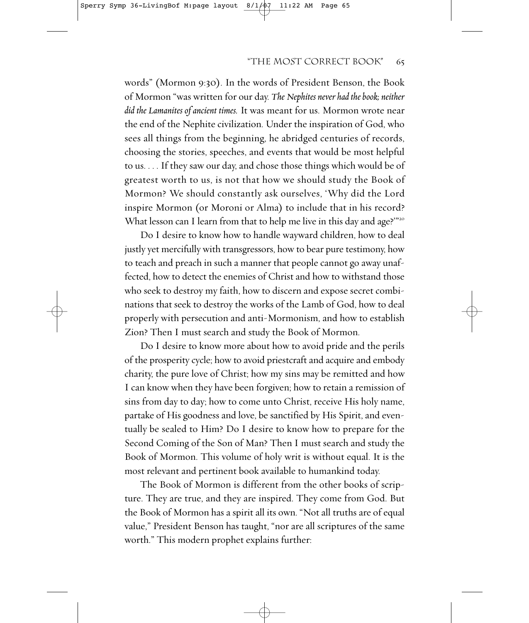words" (Mormon 9:30). In the words of President Benson, the Book of Mormon "was written for our day. *The Nephites never had the book; neither did the Lamanites of ancient times.* It was meant for us. Mormon wrote near the end of the Nephite civilization. Under the inspiration of God, who sees all things from the beginning, he abridged centuries of records, choosing the stories, speeches, and events that would be most helpful to us. . . . If they saw our day, and chose those things which would be of greatest worth to us, is not that how we should study the Book of Mormon? We should constantly ask ourselves, 'Why did the Lord inspire Mormon (or Moroni or Alma) to include that in his record? What lesson can I learn from that to help me live in this day and age?"20

Do I desire to know how to handle wayward children, how to deal justly yet mercifully with transgressors, how to bear pure testimony, how to teach and preach in such a manner that people cannot go away unaffected, how to detect the enemies of Christ and how to withstand those who seek to destroy my faith, how to discern and expose secret combinations that seek to destroy the works of the Lamb of God, how to deal properly with persecution and anti- Mormonism, and how to establish Zion? Then I must search and study the Book of Mormon.

Do I desire to know more about how to avoid pride and the perils of the prosperity cycle; how to avoid priestcraft and acquire and embody charity, the pure love of Christ; how my sins may be remitted and how I can know when they have been forgiven; how to retain a remission of sins from day to day; how to come unto Christ, receive His holy name, partake of His goodness and love, be sanctified by His Spirit, and eventually be sealed to Him? Do I desire to know how to prepare for the Second Coming of the Son of Man? Then I must search and study the Book of Mormon. This volume of holy writ is without equal. It is the most relevant and pertinent book available to humankind today.

The Book of Mormon is different from the other books of scripture. They are true, and they are inspired. They come from God. But the Book of Mormon has a spirit all its own. "Not all truths are of equal value," President Benson has taught, "nor are all scriptures of the same worth." This modern prophet explains further: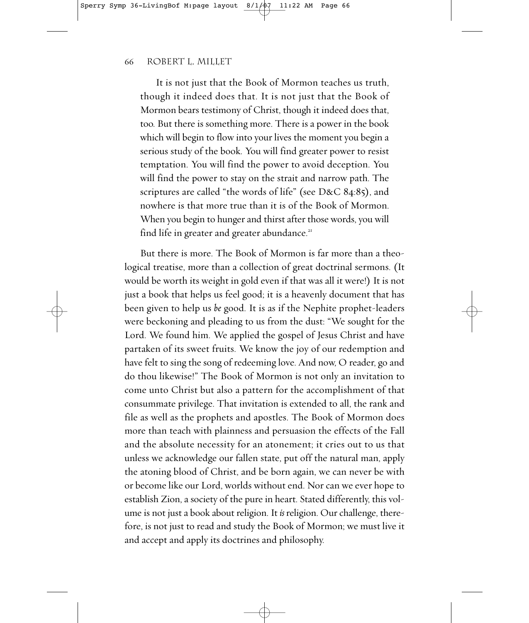Sperry Symp 36-LivingBof M:page layout  $8/1/\sqrt[4]{7}$  11:22 AM

#### 66 Robert L. Millet

It is not just that the Book of Mormon teaches us truth, though it indeed does that. It is not just that the Book of Mormon bears testimony of Christ, though it indeed does that, too. But there is something more. There is a power in the book which will begin to flow into your lives the moment you begin a serious study of the book. You will find greater power to resist temptation. You will find the power to avoid deception. You will find the power to stay on the strait and narrow path. The scriptures are called "the words of life" (see D&C 84:85), and nowhere is that more true than it is of the Book of Mormon. When you begin to hunger and thirst after those words, you will find life in greater and greater abundance. $21$ 

But there is more. The Book of Mormon is far more than a theological treatise, more than a collection of great doctrinal sermons. (It would be worth its weight in gold even if that was all it were!) It is not just a book that helps us feel good; it is a heavenly document that has been given to help us *be* good. It is as if the Nephite prophet- leaders were beckoning and pleading to us from the dust: "We sought for the Lord. We found him. We applied the gospel of Jesus Christ and have partaken of its sweet fruits. We know the joy of our redemption and have felt to sing the song of redeeming love. And now, O reader, go and do thou likewise!" The Book of Mormon is not only an invitation to come unto Christ but also a pattern for the accomplishment of that consummate privilege. That invitation is extended to all, the rank and file as well as the prophets and apostles. The Book of Mormon does more than teach with plainness and persuasion the effects of the Fall and the absolute necessity for an atonement; it cries out to us that unless we acknowledge our fallen state, put off the natural man, apply the atoning blood of Christ, and be born again, we can never be with or become like our Lord, worlds without end. Nor can we ever hope to establish Zion, a society of the pure in heart. Stated differently, this volume is not just a book about religion. It *is* religion. Our challenge, therefore, is not just to read and study the Book of Mormon; we must live it and accept and apply its doctrines and philosophy.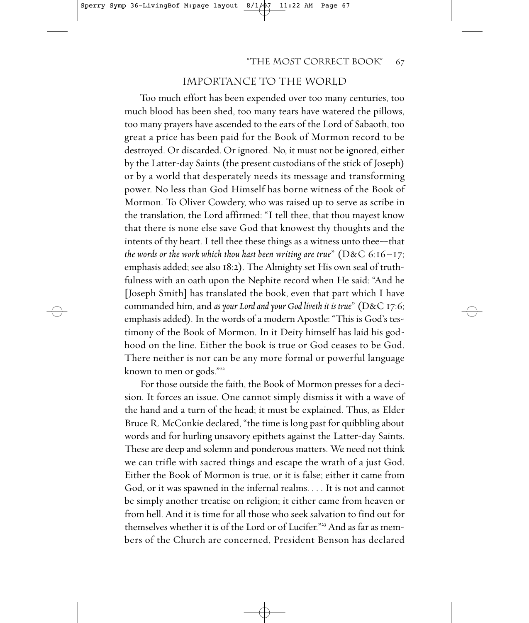# Importance to the World

Too much effort has been expended over too many centuries, too much blood has been shed, too many tears have watered the pillows, too many prayers have ascended to the ears of the Lord of Sabaoth, too great a price has been paid for the Book of Mormon record to be destroyed. Or discarded. Or ignored. No, it must not be ignored, either by the Latter- day Saints (the present custodians of the stick of Joseph) or by a world that desperately needs its message and transforming power. No less than God Himself has borne witness of the Book of Mormon. To Oliver Cowdery, who was raised up to serve as scribe in the translation, the Lord affirmed: "I tell thee, that thou mayest know that there is none else save God that knowest thy thoughts and the intents of thy heart. I tell thee these things as a witness unto thee— that *the words or the work which thou hast been writing are true*" ( $D&\text{C } 6:16-17$ ; emphasis added; see also 18:2). The Almighty set His own seal of truthfulness with an oath upon the Nephite record when He said: "And he [Joseph Smith] has translated the book, even that part which I have commanded him, and *as your Lord and your God liveth it is true*" (D&C 17:6; emphasis added). In the words of a modern Apostle: "This is God's testimony of the Book of Mormon. In it Deity himself has laid his godhood on the line. Either the book is true or God ceases to be God. There neither is nor can be any more formal or powerful language known to men or gods." $22$ 

For those outside the faith, the Book of Mormon presses for a decision. It forces an issue. One cannot simply dismiss it with a wave of the hand and a turn of the head; it must be explained. Thus, as Elder Bruce R. McConkie declared, "the time is long past for quibbling about words and for hurling unsavory epithets against the Latter- day Saints. These are deep and solemn and ponderous matters. We need not think we can trifle with sacred things and escape the wrath of a just God. Either the Book of Mormon is true, or it is false; either it came from God, or it was spawned in the infernal realms. . . . It is not and cannot be simply another treatise on religion; it either came from heaven or from hell. And it is time for all those who seek salvation to find out for themselves whether it is of the Lord or of Lucifer."<sup>23</sup> And as far as members of the Church are concerned, President Benson has declared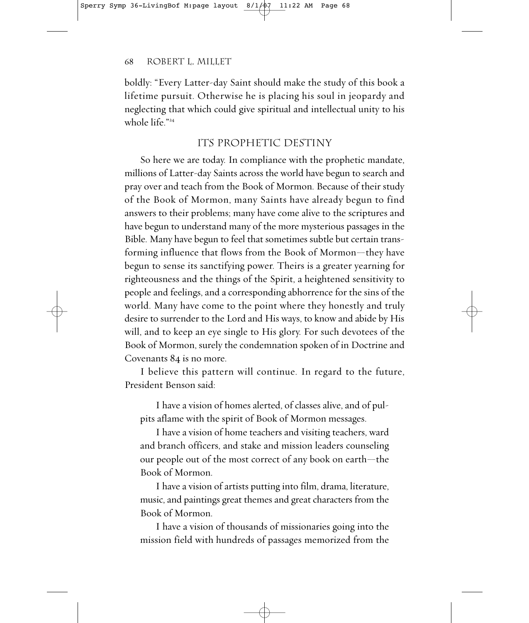#### 68 Robert L. Millet

boldly: "Every Latter- day Saint should make the study of this book a lifetime pursuit. Otherwise he is placing his soul in jeopardy and neglecting that which could give spiritual and intellectual unity to his whole life."<sup>24</sup>

# Its Prophetic Destiny

So here we are today. In compliance with the prophetic mandate, millions of Latter- day Saints across the world have begun to search and pray over and teach from the Book of Mormon. Because of their study of the Book of Mormon, many Saints have already begun to find answers to their problems; many have come alive to the scriptures and have begun to understand many of the more mysterious passages in the Bible. Many have begun to feel that sometimes subtle but certain transforming influence that flows from the Book of Mormon— they have begun to sense its sanctifying power. Theirs is a greater yearning for righteousness and the things of the Spirit, a heightened sensitivity to people and feelings, and a corresponding abhorrence for the sins of the world. Many have come to the point where they honestly and truly desire to surrender to the Lord and His ways, to know and abide by His will, and to keep an eye single to His glory. For such devotees of the Book of Mormon, surely the condemnation spoken of in Doctrine and Covenants 84 is no more.

I believe this pattern will continue. In regard to the future, President Benson said:

I have a vision of homes alerted, of classes alive, and of pulpits aflame with the spirit of Book of Mormon messages.

I have a vision of home teachers and visiting teachers, ward and branch officers, and stake and mission leaders counseling our people out of the most correct of any book on earth— the Book of Mormon.

I have a vision of artists putting into film, drama, literature, music, and paintings great themes and great characters from the Book of Mormon.

I have a vision of thousands of missionaries going into the mission field with hundreds of passages memorized from the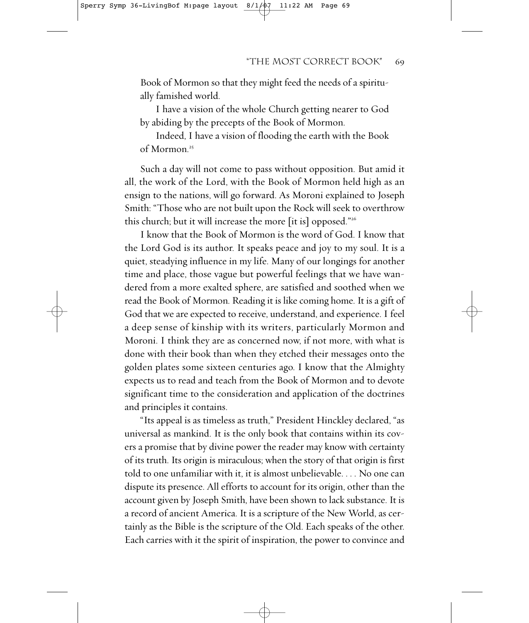Book of Mormon so that they might feed the needs of a spiritually famished world.

I have a vision of the whole Church getting nearer to God by abiding by the precepts of the Book of Mormon.

Indeed, I have a vision of flooding the earth with the Book of Mormon.<sup>25</sup>

Such a day will not come to pass without opposition. But amid it all, the work of the Lord, with the Book of Mormon held high as an ensign to the nations, will go forward. As Moroni explained to Joseph Smith: "Those who are not built upon the Rock will seek to overthrow this church; but it will increase the more [it is] opposed."<sup>26</sup>

I know that the Book of Mormon is the word of God. I know that the Lord God is its author. It speaks peace and joy to my soul. It is a quiet, steadying influence in my life. Many of our longings for another time and place, those vague but powerful feelings that we have wandered from a more exalted sphere, are satisfied and soothed when we read the Book of Mormon. Reading it is like coming home. It is a gift of God that we are expected to receive, understand, and experience. I feel a deep sense of kinship with its writers, particularly Mormon and Moroni. I think they are as concerned now, if not more, with what is done with their book than when they etched their messages onto the golden plates some sixteen centuries ago. I know that the Almighty expects us to read and teach from the Book of Mormon and to devote significant time to the consideration and application of the doctrines and principles it contains.

"Its appeal is as timeless as truth," President Hinckley declared, "as universal as mankind. It is the only book that contains within its covers a promise that by divine power the reader may know with certainty of its truth. Its origin is miraculous; when the story of that origin is first told to one unfamiliar with it, it is almost unbelievable. . . . No one can dispute its presence. All efforts to account for its origin, other than the account given by Joseph Smith, have been shown to lack substance. It is a record of ancient America. It is a scripture of the New World, as certainly as the Bible is the scripture of the Old. Each speaks of the other. Each carries with it the spirit of inspiration, the power to convince and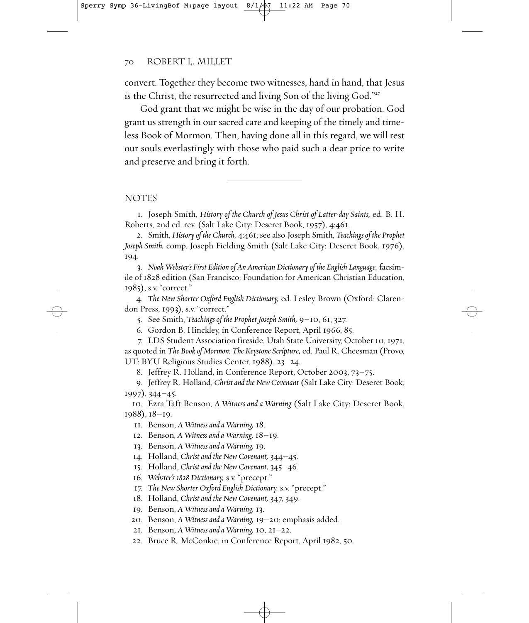#### 70 Robert L. Millet

convert. Together they become two witnesses, hand in hand, that Jesus is the Christ, the resurrected and living Son of the living God."<sup>27</sup>

God grant that we might be wise in the day of our probation. God grant us strength in our sacred care and keeping of the timely and timeless Book of Mormon. Then, having done all in this regard, we will rest our souls everlastingly with those who paid such a dear price to write and preserve and bring it forth.

#### **NOTES**

1. Joseph Smith, *History of the Church of Jesus Christ of Latter- day Saints,* ed. B. H. Roberts, 2nd ed. rev. (Salt Lake City: Deseret Book, 1957), 4:461.

2. Smith, *History of the Church,* 4:461; see also Joseph Smith, *Teachings of the Prophet Joseph Smith,* comp. Joseph Fielding Smith (Salt Lake City: Deseret Book, 1976), 194.

3. *Noah Webster's First Edition of An American Dictionary of the English Language,* facsimile of 1828 edition (San Francisco: Foundation for American Christian Education, 1985), s.v. "correct."

4. *The New Shorter Oxford English Dictionary,* ed. Lesley Brown (Oxford: Claren don Press, 1993), s.v. "correct."

- 5. See Smith, *Teachings of the Prophet Joseph Smith,* 9–10, 61, 327.
- 6. Gordon B. Hinckley, in Conference Report, April 1966, 85.

7. LDS Student Association fireside, Utah State University, October 10, 1971, as quoted in *The Book of Mormon: The Keystone Scripture,* ed. Paul R. Cheesman (Provo, UT: BYU Religious Studies Center, 1988), 23–24.

8. Jeffrey R. Holland, in Conference Report, October 2003, 73–75.

9. Jeffrey R. Holland, *Christ and the New Covenant* (Salt Lake City: Deseret Book, 1997), 344–45.

10. Ezra Taft Benson, *A Witness and a Warning* (Salt Lake City: Deseret Book, 1988), 18–19.

11. Benson, *A Witness and a Warning,* 18.

12. Benson*, A Witness and a Warning,* 18–19.

13. Benson, *A Witness and a Warning,* 19.

14. Holland, *Christ and the New Covenant,* 344–45.

15. Holland, *Christ and the New Covenant,* 345–46.

16. *Webster's 1828 Dictionary,* s.v. "precept."

17. *The New Shorter Oxford English Dictionary,* s.v. "precept."

18. Holland, *Christ and the New Covenant,* 347, 349.

19. Benson, *A Witness and a Warning,* 13.

20. Benson, *A Witness and a Warning,* 19–20; emphasis added.

21. Benson, *A Witness and a Warning,* 10, 21–22.

22. Bruce R. McConkie, in Conference Report, April 1982, 50.